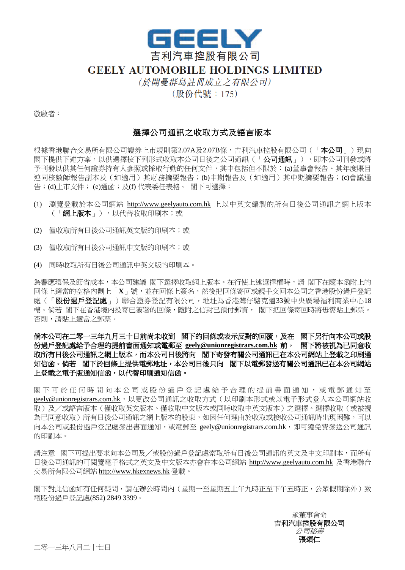

## **GEELY AUTOMOBILE HOLDINGS LIMITED**

(於開曼群島註冊成立之有限公司) (股份代號: 175)

敬啟者:

## 選擇公司通訊之收取方式及語言版本

根據香港聯合交易所有限公司證券上市規則第2.07A及2.07B條,吉利汽車控股有限公司(「**本公司**」)現向 閣下提供下述方案,以供選擇按下列形式收取本公司日後之公司通訊(「公司通訊」),即本公司刊發或將 予刊發以供其任何證券持有人參照或採取行動的任何文件,其中包括但不限於:(a)董事會報告、其年度賬目 連同核數師報告副本及(如適用)其財務摘要報告;(b)中期報告及(如適用)其中期摘要報告;(c)會議通 告;(d)上市文件; (e)通函;及(f) 代表委任表格。 閣下可選擇:

- (1) 瀏覽登載於本公司網站 http://www.geelyauto.com.hk 上以中英文編製的所有日後公司通訊之網上版本 (「網上版本」),以代替收取印刷本;或
- (2) 僅收取所有日後公司通訊英文版的印刷本;或
- (3) 僅收取所有日後公司通訊中文版的印刷本;或
- (4) 同時收取所有日後公司通訊中英文版的印刷本。

為響應環保及節省成本,本公司建議 閣下選擇收取網上版本。在行使上述選擇權時,請 閣下在隨本函附上的 回條上適當的空格內劃上「**X**」號,並在回條上簽名,然後把回條寄回或親手交回本公司之香港股份過戶登記 處(「股份過戶登記處」)聯合證券登記有限公司,地址為香港灣仔駱克道33號中央廣場福利商業中心18 樓。倘若 閣下在香港境内投寄已簽署的回條,隨附之信封已預付郵資, 閣下把回條寄回時將毋需貼上郵票。 否則,請貼上適當之郵票。

倘本公司在二零一三年九月三十日前尚未收到閣下的回條或表示反對的回覆,及在閣下另行向本公司或股 份過戶登記處給予合理的提前書面通知或電郵至 **geely@unionregistrars.com.hk** 前,閣下將被視為已同意收 取所有日後公司通訊之網上版本,而本公司日後將向閣下寄發有關公司通訊已在本公司網站上登載之印刷通 知信函。倘若閣下於回條上提供電郵地址,本公司日後只向閣下以電郵發送有關公司通訊已在本公司網站 上登載之電子版通知信函,以代替印刷通知信函。

閣下可於任何時間向本公司或股份過戶登記處給予合理的提前書面通知,或電郵通知至 geely@unionregistrars.com.hk,,以更改公司通訊之收取方式(以印刷本形式或以電子形式登入本公司網站收 取)及╱或語言版本(僅收取英文版本、僅收取中文版本或同時收取中英文版本)之選擇。選擇收取(或被視 為已同意收取)所有日後公司通訊之網上版本的股東,如因任何理由於收取或接收公司通訊時出現困難,可以 向本公司或股份過戶登記處發出書面通知,或電郵至 geely@unionregistrars.com.hk,因可獲免費發送公司通訊 的印刷本。

請注意 閣下可提出要求向本公司及╱或股份過戶登記處索取所有日後公司通訊的英文及中文印刷本,而所有 日後公司通訊的可閱覽電子格式之英文及中文版本亦會在本公司網站 http://www.geelyauto.com.hk 及香港聯合 交易所有限公司網站 http://www.hkexnews.hk 登載。

閣下對此信函如有任何疑問,請在辦公時間內(星期一至星期五上午九時正至下午五時正,公眾假期除外)致 電股份過戶登記處(852) 2849 3399。

> 承董事會命 吉利汽車控股有限公司 公司秘書 張頌仁

二零一三年八月二十七日